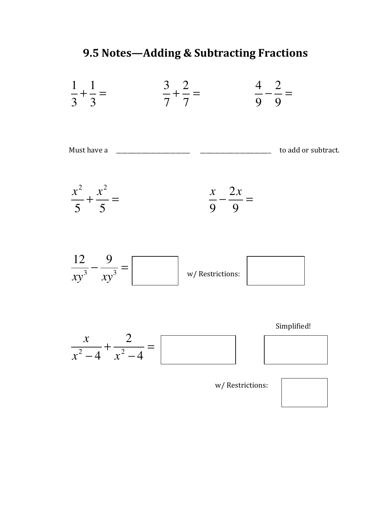## **9.5 Notes—Adding & Subtracting Fractions**



| Must have a |  | to add or subtract. |
|-------------|--|---------------------|
|             |  |                     |





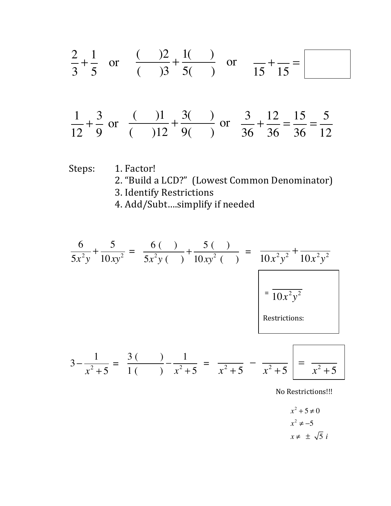$$
\frac{2}{3} + \frac{1}{5} \text{ or } \frac{(-)2}{(-)3} + \frac{1}{5} \text{ or } \frac{(-)2}{15} + \frac{1}{15} = \boxed{2}
$$
  

$$
\frac{1}{12} + \frac{3}{9} \text{ or } \frac{(-)1}{(-)12} + \frac{3(-)}{9(-)} \text{ or } \frac{3}{36} + \frac{12}{36} = \frac{15}{36} = \frac{5}{12}
$$

Steps: 1. Factor!

- 2. "Build a LCD?" (Lowest Common Denominator)
- 3. Identify Restrictions

4. Add/Subt....simplify if needed

$$
\frac{6}{5x^2y} + \frac{5}{10xy^2} = \frac{6(1)}{5x^2y(1)} + \frac{5(1)}{10xy^2(1)} = \frac{1}{10x^2y^2} + \frac{1}{10x^2y^2}
$$
\n
$$
= \frac{1}{10x^2y^2}
$$
\nRestrictions:

\n
$$
3 - \frac{1}{x^2 + 5} = \frac{3(1)}{1(1)} - \frac{1}{x^2 + 5} = \frac{1}{x^2 + 5} - \frac{1}{x^2 + 5} = \frac{1}{x^2 + 5}
$$

No Restrictions!!!

$$
x^{2} + 5 \neq 0
$$
  

$$
x^{2} \neq -5
$$
  

$$
x \neq \pm \sqrt{5} i
$$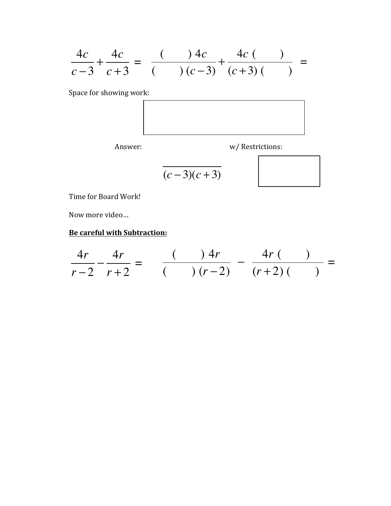$$
\frac{4c}{c-3} + \frac{4c}{c+3} = \frac{(-c)(c-3)}{(c-3)} + \frac{4c(-c)}{(c+3)(c-3)} =
$$

Space for showing work:



Answer: w/ Restrictions:

$$
\overline{(c-3)(c+3)}
$$

Time for Board Work!

Now more video...

## **Be careful with Subtraction:**

$$
\frac{4r}{r-2} - \frac{4r}{r+2} = \frac{(-1)^2 r}{(-1)^2 (r-2)} - \frac{4r(-1)}{(r+2)(-1)} =
$$